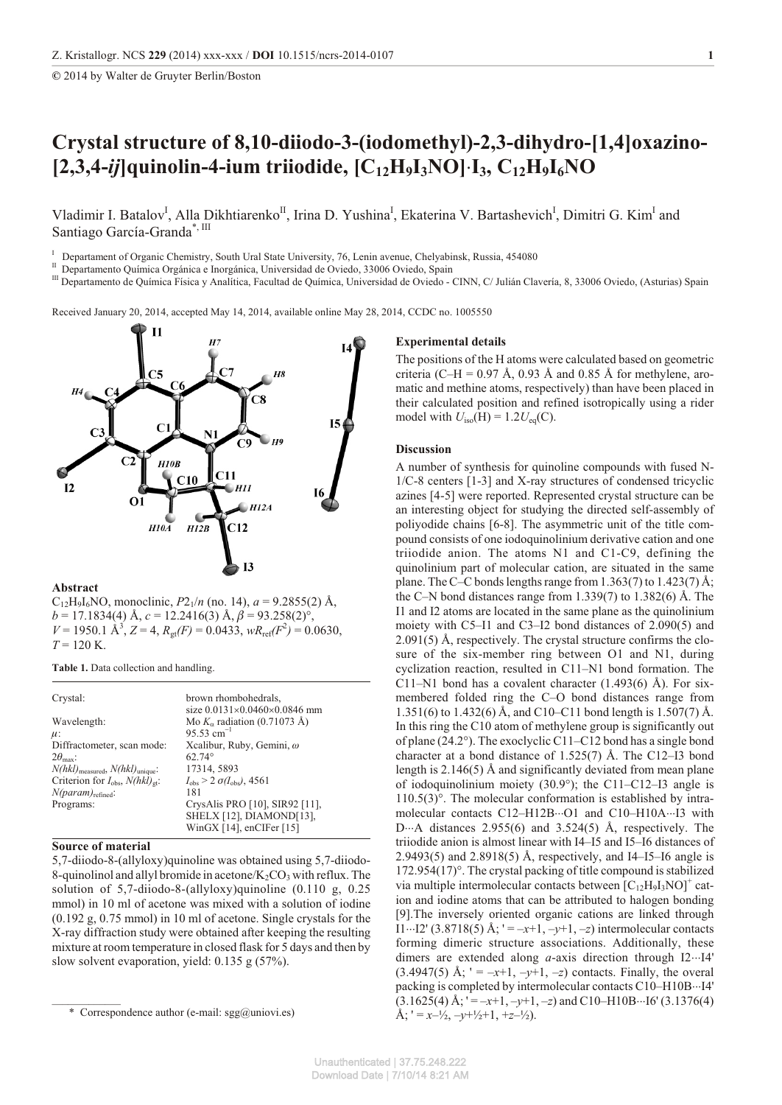**©** 2014 by Walter de Gruyter Berlin/Boston

# **Crys tal struc ture of 8,10-diiodo-3-(iodomethyl)-2,3-dihydro-[1,4]oxazino- [2,3,4-***ij***]quinolin-4-ium triiodide, [C12H9I3NO] I3, C12H9I6NO**

Vladimir I. Batalov<sup>I</sup>, Alla Dikhtiarenko<sup>II</sup>, Irina D. Yushina<sup>I</sup>, Ekaterina V. Bartashevich<sup>I</sup>, Dimitri G. Kim<sup>I</sup> and Santiago García-Granda\*, III

I Departament of Organic Chemistry, South Ural State University, 76, Lenin avenue, Chelyabinsk, Russia, 454080

<sup>II</sup> Departamento Química Orgánica e Inorgánica, Universidad de Oviedo, 33006 Oviedo, Spain

<sup>III</sup> Departamento de Química Física y Analítica, Facultad de Química, Universidad de Oviedo - CINN, C/ Julián Clavería, 8, 33006 Oviedo, (Asturias) Spain

Received January 20, 2014, accepted May 14, 2014, available online May 28, 2014, CCDC no. 1005550



## **Abstract**

 $C_{12}H_9I_6NO$ , monoclinic,  $P2_1/n$  (no. 14),  $a = 9.2855(2)$  Å,  $b = 17.1834(4)$  Å,  $c = 12.2416(3)$  Å,  $\beta = 93.258(2)$ °,  $V = 1950.1 \text{ Å}^3$ ,  $Z = 4$ ,  $R_{gt}(F) = 0.0433$ ,  $wR_{ref}(F^2) = 0.0630$ ,  $T = 120$  K.

**Table 1.** Data collection and handling.

| Crystal:                                                | brown rhombohedrals,<br>size 0.0131 0.0460 0.0846 mm |
|---------------------------------------------------------|------------------------------------------------------|
| Wavelength:                                             | Mo K radiation $(0.71073 \text{ Å})$                 |
| $\mu$ :                                                 | $95.53$ cm <sup>-1</sup>                             |
| Diffractometer, scan mode:                              | Xcalibur, Ruby, Gemini, $\omega$                     |
| $2\theta_{\text{max}}$ :                                | $62.74^{\circ}$                                      |
| $N(hkl)_{\text{measured}}$ , $N(hkl)_{\text{unique}}$ : | 17314, 5893                                          |
| Criterion for $I_{obs}$ , $N(hkl)_{\sigma t}$ :         | $I_{\text{obs}}$ > 2 $\sigma(I_{\text{obs}})$ , 4561 |
| $N(param)_{refined}$ :                                  | 181                                                  |
| Programs:                                               | CrysAlis PRO [10], SIR92 [11],                       |
|                                                         | SHELX [12], DIAMOND[13],                             |
|                                                         | WinGX [14], enCIFer [15]                             |

## **Source of material**

5,7-diiodo-8-(allyloxy)quinoline was obtained using 5,7-diiodo-8-quinolinol and allyl bromide in acetone/ $K_2CO_3$  with reflux. The solution of 5,7-diiodo-8-(allyloxy)quinoline (0.110 g, 0.25 mmol) in 10 ml of acetone was mixed with a solution of iodine  $(0.192 \text{ g}, 0.75 \text{ mmol})$  in 10 ml of acetone. Single crystals for the X-ray diffraction study were obtained after keeping the resulting mixture at room temperature in closed flask for 5 days and then by slow solvent evaporation, yield:  $0.135$  g  $(57%)$ .

## **Experimental details**

The positions of the H atoms were calculated based on geometric criteria (C–H = 0.97 Å, 0.93 Å and 0.85 Å for methylene, aromatic and methine atoms, respectively) than have been placed in their calculated position and refined isotropically using a rider model with  $U_{\text{iso}}(\text{H}) = 1.2 U_{\text{eq}}(\text{C})$ .

#### **Discussion**

A number of synthesis for quinoline compounds with fused N- $1/C-8$  centers  $[1-3]$  and X-ray structures of condensed tricyclic azines [4-5] were reported. Represented crystal structure can be an interesting object for studying the directed self-assembly of poliyodide chains [6-8]. The asymmetric unit of the title compound consists of one iodoquinolinium derivative cation and one triiodide anion. The atoms  $N1$  and  $C1-C9$ , defining the quinolinium part of molecular cation, are situated in the same plane. The C–C bonds lengths range from 1.363(7) to 1.423(7) Å; the C–N bond distances range from  $1.339(7)$  to  $1.382(6)$  Å. The I1 and I2 atoms are located in the same plane as the quinolinium moiety with  $C5-11$  and  $C3-12$  bond distances of 2.090(5) and  $2.091(5)$  Å, respectively. The crystal structure confirms the closure of the six-member ring between  $O1$  and N1, during cyclization reaction, resulted in  $C11-N1$  bond formation. The C11–N1 bond has a covalent character  $(1.493(6)$  Å). For sixmembered folded ring the C–O bond distances range from 1.351(6) to 1.432(6) Å, and C10–C11 bond length is 1.507(7) Å. In this ring the C10 atom of methylene group is significantly out of plane (24.2°). The exoclyclic C11–C12 bond has a single bond character at a bond distance of  $1.525(7)$  Å. The C12–I3 bond length is  $2.146(5)$  Å and significantly deviated from mean plane of iodoquinolinium moiety  $(30.9^{\circ})$ ; the C11–C12–I3 angle is  $110.5(3)$ °. The molecular conformation is established by intramolecular contacts C12–H12B O1 and C10–H10A I3 with D A distances  $2.955(6)$  and  $3.524(5)$  Å, respectively. The triiodide anion is almost linear with I4–I5 and I5–I6 distances of 2.9493(5) and 2.8918(5) Å, respectively, and I4–I5–I6 angle is  $172.954(17)$ °. The crystal packing of title compound is stabilized via multiple intermolecular contacts between  $[C_{12}H_9I_3NO]^+$  cation and iodine atoms that can be attributed to halogen bonding [9]. The inversely oriented organic cations are linked through I1 I2' (3.8718(5) Å;  $' = -x+1, -y+1, -z$ ) intermolecular contacts forming dimeric structure associations. Additionally, these dimers are extended along *a*-axis direction through I2 I4'  $(3.4947(5)$  Å;  $' = -x+1, -y+1, -z$  contacts. Finally, the overal packing is completed by intermolecular contacts C10–H10B I4'  $(3.1625(4)$  Å;  $' = -x+1, -y+1, -z$ ) and C10–H10B I6' (3.1376(4)  $\mathring{A}$ ; ' =  $x$ – $\frac{1}{2}$ , – $y$ + $\frac{1}{2}$ +1, +z– $\frac{1}{2}$ ).

<sup>\*</sup> Correspondence author (e-mail: sgg@uniovi.es)